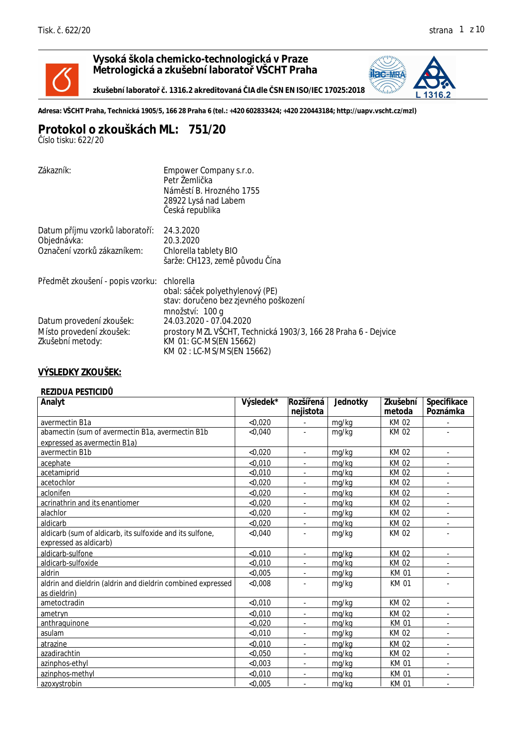

**Vysoká škola chemicko-technologická v Praze Metrologická a zkušební laboratoř VŠCHT Praha**

zkušební laborato . 1316.2 akreditovaná IA dle SN EN ISO/IEC 17025:2018



**Adresa: VŠCHT Praha, Technická 1905/5, 166 28 Praha 6 (tel.: +420 602833424; +420 220443184; http://uapv.vscht.cz/mzl)**

## **Protokol o zkouškách ML: 751/20**

*Číslo tisku: 622/20*

| Zákazník:                                                                   | Empower Company s.r.o.<br>Petr Žemli ka<br>Nám stí B. Hrozného 1755<br>28922 Lysá nad Labem<br>eská republika       |
|-----------------------------------------------------------------------------|---------------------------------------------------------------------------------------------------------------------|
| Datum p íjmu vzork laborato í:<br>Objednávka:<br>Ozna ení vzork zákazníkem: | 24.3.2020<br>20.3.2020<br>Chlorella tablety BIO<br>šarže: CH123, zem p vodu ína                                     |
| P edm t zkoušení - popis vzorku:                                            | chlorella<br>obal: sá ek polyethylenový (PE)<br>stav: doru eno bez zjevného poškození<br>množství: 100 g            |
| Datum provedení zkoušek:<br>Místo provedení zkoušek:<br>Zkušební metody:    | 24.03.2020 - 07.04.2020<br>prostory MZL VŠCHT, Technická 1903/3, 166 28 Praha 6 - Dejvice<br>KM 01: GC-MS(EN 15662) |
|                                                                             | KM 02: LC-MS/MS(EN 15662)                                                                                           |

## **VÝSLEDKY ZKOUŠEK:**

| Analyt                                                      | Výsledek* | Rozší ená                | Jednotky | Zkušební    | Specifikace              |
|-------------------------------------------------------------|-----------|--------------------------|----------|-------------|--------------------------|
|                                                             |           | nejistota                |          | metoda      | Poznámka                 |
| avermectin B1a                                              | < 0,020   |                          | mg/kg    | KM 02       |                          |
| abamectin (sum of avermectin B1a, avermectin B1b            | < 0,040   |                          | mg/kg    | KM 02       |                          |
| expressed as avermectin B1a)                                |           |                          |          |             |                          |
| avermectin B1b                                              | < 0.020   | $\overline{\phantom{a}}$ | mg/kg    | KM 02       | $\overline{\phantom{a}}$ |
| acephate                                                    | < 0.010   |                          | mg/kg    | KM 02       |                          |
| acetamiprid                                                 | < 0.010   |                          | mg/kg    | KM 02       |                          |
| acetochlor                                                  | < 0.020   |                          | mg/kg    | KM 02       |                          |
| aclonifen                                                   | < 0.020   | $\overline{\phantom{a}}$ | mg/kg    | KM 02       | $\overline{\phantom{a}}$ |
| acrinathrin and its enantiomer                              | < 0.020   |                          | mg/kg    | KM 02       | $\overline{\phantom{a}}$ |
| alachlor                                                    | < 0,020   |                          | mg/kg    | KM 02       |                          |
| aldicarb                                                    | < 0.020   | $\blacksquare$           | mg/kg    | KM 02       | ٠                        |
| aldicarb (sum of aldicarb, its sulfoxide and its sulfone,   | < 0.040   |                          | mg/kg    | KM 02       |                          |
| expressed as aldicarb)                                      |           |                          |          |             |                          |
| aldicarb-sulfone                                            | < 0.010   | $\blacksquare$           | mg/kg    | KM 02       | $\blacksquare$           |
| aldicarb-sulfoxide                                          | < 0,010   |                          | mg/kg    | KM 02       |                          |
| aldrin                                                      | < 0,005   | $\overline{\phantom{a}}$ | mg/kg    | <b>KM01</b> | $\overline{\phantom{a}}$ |
| aldrin and dieldrin (aldrin and dieldrin combined expressed | <0,008    |                          | mg/kg    | <b>KM01</b> |                          |
| as dieldrin)                                                |           |                          |          |             |                          |
| ametoctradin                                                | < 0.010   |                          | mg/kg    | KM 02       | ä,                       |
| ametryn                                                     | < 0.010   |                          | mg/kg    | KM 02       |                          |
| anthraquinone                                               | < 0.020   |                          | mg/kg    | <b>KM01</b> | ٠                        |
| asulam                                                      | < 0,010   |                          | mg/kg    | KM 02       | ä,                       |
| atrazine                                                    | < 0.010   | $\blacksquare$           | mg/kg    | KM 02       | ٠                        |
| azadirachtin                                                | < 0,050   |                          | mg/kg    | KM 02       | $\overline{\phantom{a}}$ |
| azinphos-ethyl                                              | < 0.003   | ٠                        | mg/kg    | <b>KM01</b> | ٠                        |
| azinphos-methyl                                             | < 0.010   |                          | mg/kg    | KM 01       |                          |
| azoxystrobin                                                | < 0.005   |                          | mg/kg    | <b>KM01</b> |                          |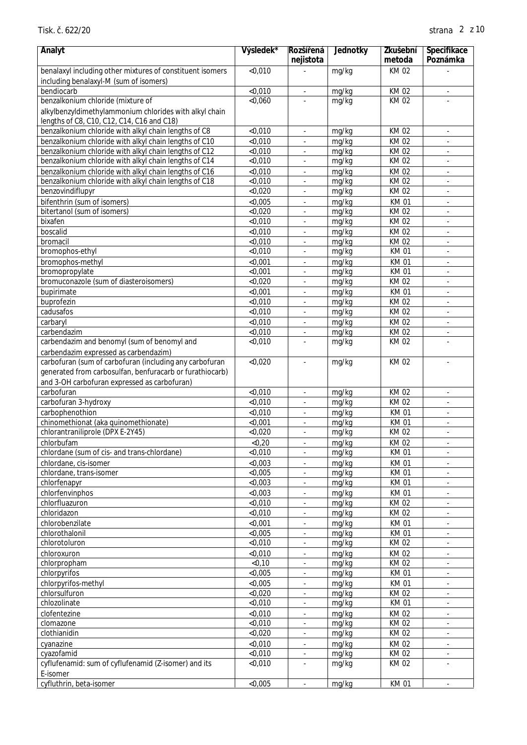| Analyt                                                    | Výsledek*          | Rozší ená                                            | Jednotky       | Zkušební                   | Specifikace                                |
|-----------------------------------------------------------|--------------------|------------------------------------------------------|----------------|----------------------------|--------------------------------------------|
|                                                           |                    | nejistota                                            |                | metoda                     | Poznámka                                   |
| benalaxyl including other mixtures of constituent isomers | < 0,010            |                                                      | mg/kg          | KM 02                      |                                            |
| including benalaxyl-M (sum of isomers)<br>bendiocarb      | < 0,010            |                                                      | mg/kg          | KM 02                      |                                            |
| benzalkonium chloride (mixture of                         | < 0.060            |                                                      | mg/kg          | <b>KM02</b>                | $\overline{\phantom{a}}$                   |
| alkylbenzyldimethylammonium chlorides with alkyl chain    |                    |                                                      |                |                            |                                            |
| lengths of C8, C10, C12, C14, C16 and C18)                |                    |                                                      |                |                            |                                            |
| benzalkonium chloride with alkyl chain lengths of C8      | < 0,010            |                                                      | mg/kg          | KM 02                      |                                            |
| benzalkonium chloride with alkyl chain lengths of C10     | < 0,010            |                                                      | mg/kg          | <b>KM02</b>                |                                            |
| benzalkonium chloride with alkyl chain lengths of C12     | < 0,010            |                                                      | mg/kg          | KM 02                      |                                            |
| benzalkonium chloride with alkyl chain lengths of C14     | < 0,010            | ä,                                                   | mg/kg          | KM 02                      | $\blacksquare$                             |
| benzalkonium chloride with alkyl chain lengths of C16     | < 0,010            | ä,                                                   | mg/kg          | <b>KM02</b>                | $\overline{\phantom{a}}$                   |
| benzalkonium chloride with alkyl chain lengths of C18     | < 0,010            |                                                      | mg/kg          | KM 02                      | $\overline{\phantom{a}}$                   |
| benzovindiflupyr                                          | < 0,020            |                                                      | mg/kg          | <b>KM02</b>                |                                            |
| bifenthrin (sum of isomers)                               | < 0,005            | ä,                                                   | mg/kg          | <b>KM01</b>                | $\sim$                                     |
| bitertanol (sum of isomers)                               | < 0,020            |                                                      | mg/kg          | <b>KM02</b>                | $\overline{\phantom{a}}$                   |
| bixafen                                                   | < 0,010            |                                                      | mg/kg          | <b>KM02</b>                |                                            |
| boscalid                                                  | < 0,010            |                                                      | mg/kg          | KM 02                      |                                            |
| bromacil                                                  | < 0,010            |                                                      | mg/kg          | <b>KM02</b>                |                                            |
| bromophos-ethyl                                           | < 0,010            |                                                      | mg/kg          | <b>KM01</b>                | $\sim$                                     |
| bromophos-methyl                                          | < 0,001            | ä,                                                   | mg/kg          | <b>KM01</b>                | $\overline{\phantom{a}}$                   |
| bromopropylate                                            | < 0,001            |                                                      | mg/kg          | <b>KM01</b>                | $\overline{\phantom{a}}$                   |
| bromuconazole (sum of diasteroisomers)                    | < 0,020            |                                                      | mg/kg          | <b>KM02</b>                |                                            |
| bupirimate                                                | < 0,001            | ä,                                                   | mg/kg          | <b>KM01</b>                | $\sim$                                     |
| buprofezin<br>cadusafos                                   | < 0,010<br>< 0,010 |                                                      | mg/kg          | <b>KM02</b><br><b>KM02</b> | $\sim$                                     |
|                                                           | < 0,010            |                                                      | mg/kg          | KM 02                      |                                            |
| carbaryl<br>carbendazim                                   | < 0,010            |                                                      | mg/kg<br>mg/kg | KM 02                      | $\overline{\phantom{a}}$<br>$\blacksquare$ |
| carbendazim and benomyl (sum of benomyl and               | < 0,010            |                                                      | mg/kg          | <b>KM02</b>                |                                            |
| carbendazim expressed as carbendazim)                     |                    |                                                      |                |                            |                                            |
| carbofuran (sum of carbofuran (including any carbofuran   | < 0,020            | ä,                                                   | mg/kg          | <b>KM02</b>                | $\overline{\phantom{a}}$                   |
| generated from carbosulfan, benfuracarb or furathiocarb)  |                    |                                                      |                |                            |                                            |
| and 3-OH carbofuran expressed as carbofuran)              |                    |                                                      |                |                            |                                            |
| carbofuran                                                | < 0,010            |                                                      | mg/kg          | <b>KM02</b>                | $\overline{\phantom{a}}$                   |
| carbofuran 3-hydroxy                                      | < 0,010            |                                                      | mg/kg          | <b>KM02</b>                |                                            |
| carbophenothion                                           | < 0,010            |                                                      | mg/kg          | <b>KM01</b>                |                                            |
| chinomethionat (aka quinomethionate)                      | $\overline{0.001}$ |                                                      | mg/kg          | <b>KM01</b>                | $\bar{\phantom{a}}$                        |
| chlorantraniliprole (DPX E-2Y45)                          | < 0,020            | $\blacksquare$                                       | mg/kg          | <b>KM02</b>                | $\blacksquare$                             |
| chlorbufam                                                | < 0, 20            |                                                      | mg/kg          | KM 02                      |                                            |
| chlordane (sum of cis- and trans-chlordane)               | < 0,010            | $\overline{\phantom{a}}$                             | mg/kg          | <b>KM01</b>                | $\overline{\phantom{a}}$                   |
| chlordane, cis-isomer                                     | < 0,003            | ÷,                                                   | mg/kg          | <b>KM01</b>                | $\overline{\phantom{a}}$                   |
| chlordane, trans-isomer                                   | < 0,005            |                                                      | mg/kg          | <b>KM01</b>                | $\overline{\phantom{a}}$                   |
| chlorfenapyr                                              | < 0,003            |                                                      | mg/kg          | <b>KM01</b>                | $\overline{\phantom{a}}$                   |
| chlorfenvinphos                                           | < 0,003            |                                                      | mg/kg          | <b>KM01</b>                | $\blacksquare$                             |
| chlorfluazuron                                            | < 0,010            |                                                      | mg/kg          | <b>KM02</b>                |                                            |
| chloridazon                                               | < 0,010            |                                                      | mg/kg          | KM 02                      | $\mathcal{L}$                              |
| chlorobenzilate                                           | < 0,001            |                                                      | mg/kg          | <b>KM01</b>                | $\overline{\phantom{a}}$                   |
| chlorothalonil                                            | < 0,005            | ÷.                                                   | mg/kg          | <b>KM01</b>                | $\omega$                                   |
| chlorotoluron                                             | < 0,010<br>< 0,010 | $\overline{\phantom{a}}$                             | mg/kg<br>mg/kg | KM 02                      | $\blacksquare$                             |
| chloroxuron<br>chlorpropham                               | $<$ 0,10           | $\overline{\phantom{a}}$<br>$\overline{\phantom{a}}$ | mg/kg          | KM 02<br><b>KM02</b>       | $\blacksquare$<br>$\blacksquare$           |
| chlorpyrifos                                              | < 0,005            | ä,                                                   | mg/kg          | KM 01                      | $\overline{\phantom{a}}$                   |
| chlorpyrifos-methyl                                       | < 0,005            |                                                      | mg/kg          | <b>KM01</b>                | $\overline{\phantom{a}}$                   |
| chlorsulfuron                                             | < 0,020            |                                                      | mg/kg          | <b>KM02</b>                |                                            |
| chlozolinate                                              | < 0,010            |                                                      | mg/kg          | <b>KM01</b>                | ÷,                                         |
| clofentezine                                              | < 0,010            |                                                      | mg/kg          | <b>KM02</b>                |                                            |
| clomazone                                                 | < 0,010            | $\overline{\phantom{a}}$                             | mg/kg          | KM 02                      | $\mathcal{L}$                              |
| clothianidin                                              | < 0,020            | $\overline{\phantom{a}}$                             | mg/kg          | KM 02                      | $\blacksquare$                             |
| cyanazine                                                 | < 0,010            | $\overline{\phantom{a}}$                             | mg/kg          | KM 02                      | $\blacksquare$                             |
| cyazofamid                                                | < 0,010            | ÷,                                                   | mg/kg          | <b>KM02</b>                | $\blacksquare$                             |
| cyflufenamid: sum of cyflufenamid (Z-isomer) and its      | < 0,010            |                                                      | mg/kg          | KM 02                      | ÷.                                         |
| E-isomer                                                  |                    |                                                      |                |                            |                                            |
| cyfluthrin, beta-isomer                                   | < 0,005            | $\blacksquare$                                       | mg/kg          | <b>KM01</b>                | $\overline{\phantom{a}}$                   |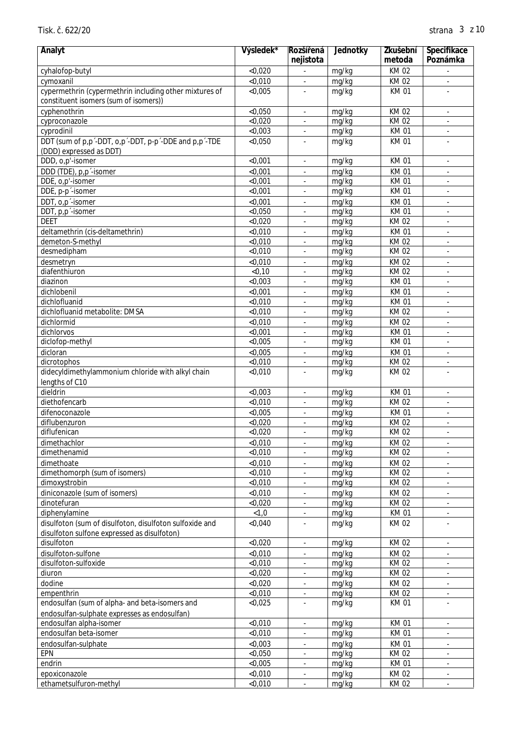| Analyt                                                  | Výsledek*          | Rozší ená<br>nejistota   | Jednotky       | Zkušební<br>metoda   | Specifikace<br>Poznámka                         |
|---------------------------------------------------------|--------------------|--------------------------|----------------|----------------------|-------------------------------------------------|
| cyhalofop-butyl                                         | < 0,020            | L.                       | mg/kg          | KM 02                | $\overline{\phantom{a}}$                        |
| cymoxanil                                               | < 0,010            | $\overline{\phantom{a}}$ | mg/kg          | KM 02                | $\overline{\phantom{a}}$                        |
| cypermethrin (cypermethrin including other mixtures of  | < 0,005            |                          | mg/kg          | <b>KM01</b>          |                                                 |
| constituent isomers (sum of isomers))                   |                    |                          |                |                      |                                                 |
| cyphenothrin                                            | < 0,050            | ÷,                       | mg/kg          | <b>KM02</b>          | $\overline{\phantom{a}}$                        |
| cyproconazole                                           | < 0,020            | ÷,                       | mg/kg          | KM 02                | $\overline{\phantom{a}}$                        |
| cyprodinil                                              | < 0,003            |                          | mg/kg          | <b>KM01</b>          | ÷,                                              |
| DDT (sum of p,p'-DDT, o,p'-DDT, p-p'-DDE and p,p'-TDE   | < 0,050            |                          | mg/kg          | <b>KM01</b>          |                                                 |
| (DDD) expressed as DDT)                                 |                    |                          |                |                      |                                                 |
| DDD, o,p'-isomer                                        | < 0,001            | ÷,                       | mg/kg          | <b>KM01</b>          | $\blacksquare$                                  |
| DDD (TDE), p,p'-isomer                                  | < 0,001            | $\overline{\phantom{a}}$ | mg/kg          | <b>KM01</b>          | $\blacksquare$                                  |
| DDE, o,p'-isomer                                        | < 0,001            | ÷,                       | mg/kg          | <b>KM01</b>          | $\overline{\phantom{a}}$                        |
| DDE, p-p <sup>-</sup> -isomer                           | < 0,001            | ÷,                       | mg/kg          | <b>KM01</b>          |                                                 |
| DDT, o,p <sup>-</sup> -isomer                           | < 0,001            |                          | mg/kg          | <b>KM01</b>          |                                                 |
| DDT, p,p <sup>-</sup> -isomer                           | $<$ 0,050          | ÷,                       | mg/kg          | <b>KM01</b>          | $\overline{\phantom{a}}$                        |
| <b>DEET</b>                                             | < 0,020            |                          | mg/kg          | <b>KM02</b>          | ÷.                                              |
| deltamethrin (cis-deltamethrin)                         | < 0,010            |                          | mg/kg          | <b>KM01</b>          | ÷.                                              |
| demeton-S-methyl                                        | < 0,010            |                          | mg/kg          | KM 02                |                                                 |
| desmedipham                                             | $<$ 0,010          | ÷,                       | mg/kg          | <b>KM02</b>          | $\overline{\phantom{a}}$                        |
| desmetryn                                               | < 0,010            | $\blacksquare$           | mg/kg          | <b>KM02</b>          | $\blacksquare$                                  |
| diafenthiuron                                           | < 0, 10            | ÷,                       | mg/kg          | KM 02                | $\overline{\phantom{a}}$                        |
| diazinon                                                | < 0,003            |                          | mg/kg          | <b>KM01</b>          |                                                 |
| dichlobenil                                             | < 0,001            |                          | mg/kg          | <b>KM01</b>          |                                                 |
| dichlofluanid                                           | $<$ 0,010          | ÷,                       | mg/kg          | <b>KM01</b>          | ÷.                                              |
| dichlofluanid metabolite: DMSA                          | < 0,010            |                          | mg/kg          | <b>KM02</b>          | $\overline{\phantom{a}}$                        |
| dichlormid                                              | < 0,010            |                          | mg/kg          | <b>KM02</b>          | ÷.                                              |
| dichlorvos                                              | < 0,001            |                          | mg/kg          | <b>KM01</b>          |                                                 |
| diclofop-methyl                                         | < 0,005            | ÷,                       | mg/kg          | <b>KM01</b>          | $\overline{\phantom{a}}$                        |
| dicloran                                                | < 0,005            | $\overline{\phantom{a}}$ | mg/kg          | <b>KM01</b>          | $\blacksquare$                                  |
| dicrotophos                                             | < 0,010            | $\overline{\phantom{a}}$ | mg/kg          | KM 02                | $\overline{\phantom{a}}$                        |
| didecyldimethylammonium chloride with alkyl chain       | < 0,010            |                          | mg/kg          | KM 02                |                                                 |
| lengths of C10                                          |                    |                          |                |                      |                                                 |
| dieldrin<br>diethofencarb                               | < 0,003<br>< 0,010 | $\sim$                   | mg/kg          | <b>KM01</b><br>KM 02 | $\overline{\phantom{a}}$                        |
|                                                         |                    |                          | mg/kg          |                      |                                                 |
| difenoconazole                                          | < 0,005<br>< 0,020 | ÷,                       | mg/kg          | <b>KM01</b><br>KM 02 | ÷.                                              |
| diflubenzuron<br>diflufenican                           | < 0,020            | ÷,                       | mg/kg<br>mg/kg | KM 02                |                                                 |
|                                                         | < 0,010            |                          |                | <b>KM02</b>          |                                                 |
| dimethachlor<br>dimethenamid                            | < 0,010            | $\blacksquare$<br>÷,     | mg/kg          | KM 02                | $\blacksquare$<br>$\overline{\phantom{a}}$      |
| dimethoate                                              | < 0,010            |                          | mg/kg          | KM 02                |                                                 |
| dimethomorph (sum of isomers)                           | < 0,010            | ÷,<br>$\blacksquare$     | mg/kg<br>mg/kg | KM 02                | $\overline{\phantom{a}}$<br>$\bar{\phantom{a}}$ |
| dimoxystrobin                                           | < 0,010            | $\sim$                   | mg/kg          | KM 02                | $\blacksquare$                                  |
| diniconazole (sum of isomers)                           | < 0,010            | ä,                       | mg/kg          | KM 02                | $\blacksquare$                                  |
| dinotefuran                                             | < 0,020            |                          | mg/kg          | KM 02                | $\overline{\phantom{a}}$                        |
| diphenylamine                                           | < 1, 0             |                          | mg/kg          | <b>KM01</b>          |                                                 |
| disulfoton (sum of disulfoton, disulfoton sulfoxide and | < 0,040            |                          | mg/kg          | KM 02                |                                                 |
| disulfoton sulfone expressed as disulfoton)             |                    |                          |                |                      |                                                 |
| disulfoton                                              | < 0.020            | $\blacksquare$           | mg/kg          | KM 02                | $\blacksquare$                                  |
| disulfoton-sulfone                                      | < 0.010            | $\overline{\phantom{a}}$ | mg/kg          | KM 02                | $\overline{\phantom{a}}$                        |
| disulfoton-sulfoxide                                    | < 0,010            | $\Box$                   | mg/kg          | KM 02                | $\bar{\phantom{a}}$                             |
| diuron                                                  | < 0,020            | ÷,                       | mg/kg          | KM 02                | $\blacksquare$                                  |
| dodine                                                  | < 0,020            |                          | mg/kg          | KM 02                | $\blacksquare$                                  |
| empenthrin                                              | < 0,010            |                          | mg/kg          | KM 02                | $\overline{\phantom{a}}$                        |
| endosulfan (sum of alpha- and beta-isomers and          | < 0,025            |                          | mg/kg          | KM 01                |                                                 |
| endosulfan-sulphate expresses as endosulfan)            |                    |                          |                |                      |                                                 |
| endosulfan alpha-isomer                                 | < 0,010            | $\blacksquare$           | mg/kg          | <b>KM01</b>          | $\blacksquare$                                  |
| endosulfan beta-isomer                                  | < 0,010            | ÷,                       | mg/kg          | <b>KM01</b>          | $\overline{\phantom{a}}$                        |
| endosulfan-sulphate                                     | < 0,003            | $\overline{\phantom{a}}$ | mg/kg          | <b>KM01</b>          | $\overline{\phantom{a}}$                        |
| EPN                                                     | < 0,050            | $\Box$                   | mg/kg          | KM 02                | ÷,                                              |
| endrin                                                  | < 0,005            | ÷,                       | mg/kg          | <b>KM01</b>          | $\overline{\phantom{a}}$                        |
| epoxiconazole                                           | < 0,010            |                          | mg/kg          | KM 02                | $\blacksquare$                                  |
| ethametsulfuron-methyl                                  | < 0,010            | $\blacksquare$           | mg/kg          | KM 02                | $\blacksquare$                                  |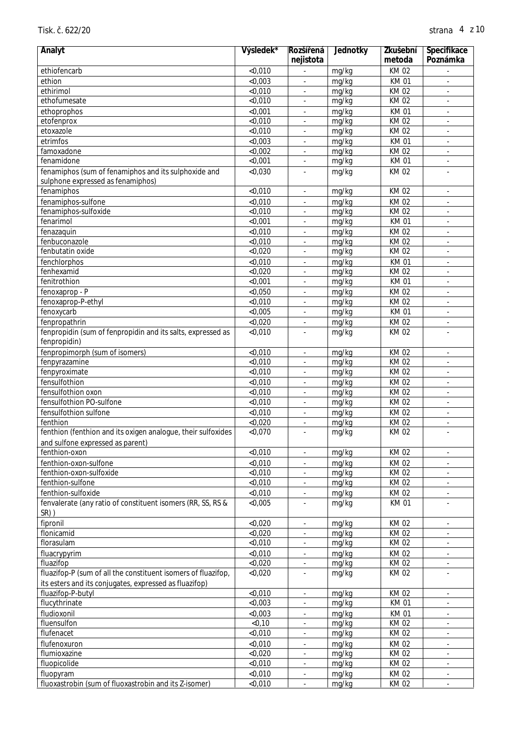| Analyt                                                        | Výsledek* | Rozší ená<br>nejistota   | Jednotky | Zkušební<br>metoda | Specifikace<br>Poznámka  |
|---------------------------------------------------------------|-----------|--------------------------|----------|--------------------|--------------------------|
| ethiofencarb                                                  | < 0,010   |                          | mg/kg    | <b>KM02</b>        |                          |
| ethion                                                        | < 0,003   | ä,                       | mg/kg    | <b>KM01</b>        | ÷,                       |
| ethirimol                                                     | < 0,010   |                          | mg/kg    | <b>KM02</b>        | ۰                        |
| ethofumesate                                                  | < 0,010   |                          | mg/kg    | <b>KM02</b>        |                          |
| ethoprophos                                                   | < 0,001   | ä,                       | mg/kg    | <b>KM01</b>        | ä,                       |
| etofenprox                                                    | < 0,010   |                          | mg/kg    | <b>KM02</b>        | ä,                       |
| etoxazole                                                     | < 0,010   |                          | mg/kg    | <b>KM02</b>        |                          |
| etrimfos                                                      | < 0,003   |                          | mg/kg    | <b>KM01</b>        |                          |
| famoxadone                                                    | < 0,002   | ä,                       | mg/kg    | <b>KM02</b>        | ÷.                       |
| fenamidone                                                    | < 0.001   | ä,                       | mg/kg    | <b>KM01</b>        | ä,                       |
| fenamiphos (sum of fenamiphos and its sulphoxide and          | < 0,030   |                          | mg/kg    | <b>KM02</b>        | ä,                       |
| sulphone expressed as fenamiphos)                             |           |                          |          |                    |                          |
| fenamiphos                                                    | < 0,010   |                          | mg/kg    | KM 02              | ä,                       |
| fenamiphos-sulfone                                            | < 0,010   |                          | mg/kg    | <b>KM02</b>        | ä,                       |
| fenamiphos-sulfoxide                                          | < 0,010   |                          | mg/kg    | <b>KM02</b>        | ä,                       |
| fenarimol                                                     | $<$ 0,001 |                          | mg/kg    | <b>KM01</b>        |                          |
| fenazaquin                                                    | < 0,010   |                          | mg/kg    | <b>KM02</b>        |                          |
| fenbuconazole                                                 | < 0,010   |                          | mg/kg    | <b>KM02</b>        | ä,                       |
| fenbutatin oxide                                              | < 0,020   |                          | mg/kg    | <b>KM02</b>        | ÷.                       |
| fenchlorphos                                                  | < 0,010   | ä,                       | mg/kg    | <b>KM01</b>        | ä,                       |
| fenhexamid                                                    | < 0,020   |                          | mg/kg    | <b>KM02</b>        | ۰                        |
| fenitrothion                                                  | $<$ 0,001 |                          | mg/kg    | <b>KM01</b>        |                          |
| fenoxaprop - P                                                | < 0,050   |                          | mg/kg    | <b>KM02</b>        | ä,                       |
| fenoxaprop-P-ethyl                                            | < 0,010   |                          | mg/kg    | <b>KM02</b>        | ä,                       |
| fenoxycarb                                                    | < 0,005   |                          | mg/kg    | <b>KM01</b>        |                          |
| fenpropathrin                                                 | < 0,020   |                          | mg/kg    | <b>KM02</b>        |                          |
| fenpropidin (sum of fenpropidin and its salts, expressed as   | < 0,010   |                          | mg/kg    | <b>KM02</b>        |                          |
| fenpropidin)                                                  |           |                          |          |                    |                          |
| fenpropimorph (sum of isomers)                                | < 0,010   | ä,                       | mg/kg    | <b>KM02</b>        | ÷,                       |
| fenpyrazamine                                                 | < 0,010   |                          | mg/kg    | <b>KM02</b>        | $\blacksquare$           |
| fenpyroximate                                                 | < 0,010   |                          | mg/kg    | <b>KM02</b>        |                          |
| fensulfothion                                                 | < 0,010   |                          | mg/kg    | <b>KM02</b>        | ä,                       |
| fensulfothion oxon                                            | < 0,010   |                          | mg/kg    | <b>KM02</b>        | ä,                       |
| fensulfothion PO-sulfone                                      | < 0,010   |                          | mg/kg    | <b>KM02</b>        |                          |
| fensulfothion sulfone                                         | < 0.010   |                          | mg/kg    | <b>KM02</b>        | ÷,                       |
| fenthion                                                      | < 0,020   |                          | mg/kg    | <b>KM02</b>        | ä,                       |
| fenthion (fenthion and its oxigen analogue, their sulfoxides  | < 0,070   | ä,                       | mg/kg    | KM 02              |                          |
| and sulfone expressed as parent)                              |           |                          |          |                    |                          |
| fenthion-oxon                                                 | < 0,010   | $\overline{\phantom{a}}$ | mg/kg    | KM 02              | ۰                        |
| fenthion-oxon-sulfone                                         | < 0,010   | $\overline{\phantom{a}}$ | mg/kg    | KM 02              | $\overline{\phantom{a}}$ |
| fenthion-oxon-sulfoxide                                       | < 0,010   | $\overline{\phantom{a}}$ | mg/kg    | KM 02              | $\overline{\phantom{a}}$ |
| fenthion-sulfone                                              | < 0,010   | $\overline{\phantom{a}}$ | mg/kg    | KM 02              | ÷,                       |
| fenthion-sulfoxide                                            | < 0,010   | ٠                        | mg/kg    | KM 02              | ۰                        |
| fenvalerate (any ratio of constituent isomers (RR, SS, RS &   | < 0,005   |                          | mg/kg    | <b>KM01</b>        | ä,                       |
| SR))                                                          |           |                          |          |                    |                          |
| fipronil                                                      | < 0,020   | ÷.                       | mg/kg    | KM 02              | ÷.                       |
| flonicamid                                                    | < 0,020   | $\overline{\phantom{a}}$ | mg/kg    | KM 02              | ÷,                       |
| florasulam                                                    | < 0,010   | ۰                        | mg/kg    | KM 02              | ۰                        |
| fluacrypyrim                                                  | < 0,010   | ÷                        | mg/kg    | KM 02              | ۰                        |
| fluazifop                                                     | < 0,020   | $\overline{\phantom{a}}$ | mg/kg    | KM 02              | ä,                       |
| fluazifop-P (sum of all the constituent isomers of fluazifop, | < 0,020   |                          | mg/kg    | KM 02              | ä,                       |
| its esters and its conjugates, expressed as fluazifop)        |           |                          |          |                    |                          |
| fluazifop-P-butyl                                             | < 0,010   |                          | mg/kg    | KM 02              | $\overline{\phantom{a}}$ |
| flucythrinate                                                 | < 0,003   | ÷.                       | mg/kg    | <b>KM01</b>        | ä,                       |
| fludioxonil                                                   | < 0,003   | ÷.                       | mg/kg    | <b>KM01</b>        | ä,                       |
| fluensulfon                                                   | $<$ 0,10  | ÷,                       | mg/kg    | KM 02              | $\blacksquare$           |
| flufenacet                                                    | < 0,010   | ۰                        | mg/kg    | KM 02              | ۰                        |
| flufenoxuron                                                  | < 0,010   |                          | mg/kg    | KM 02              | ۰                        |
| flumioxazine                                                  | < 0,020   | $\overline{\phantom{a}}$ | mg/kg    | KM 02              | ä,                       |
| fluopicolide                                                  | < 0,010   | ä,                       | mg/kg    | KM 02              | $\blacksquare$           |
| fluopyram                                                     | < 0,010   | $\blacksquare$           | mg/kg    | KM 02              | $\blacksquare$           |
| fluoxastrobin (sum of fluoxastrobin and its Z-isomer)         | < 0,010   |                          | mg/kg    | KM 02              | ÷,                       |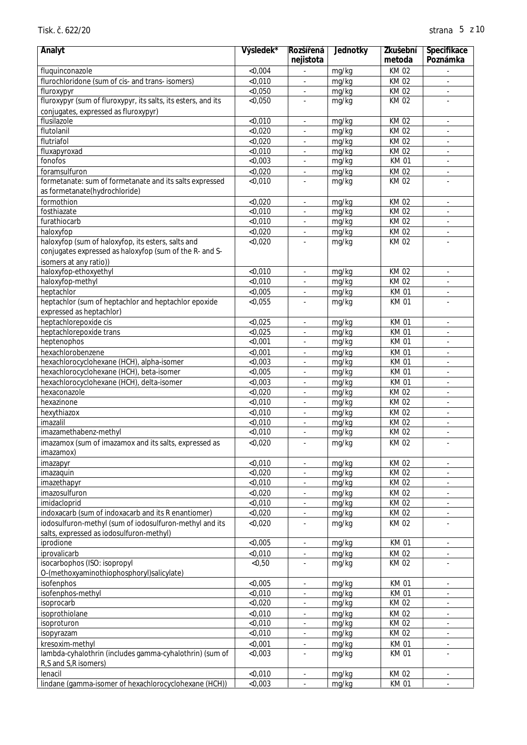| Analyt                                                        | Výsledek* | Rozší ená                    | Jednotky | Zkušební    | Specifikace              |
|---------------------------------------------------------------|-----------|------------------------------|----------|-------------|--------------------------|
|                                                               |           | nejistota                    |          | metoda      | Poznámka                 |
| fluquinconazole                                               | < 0,004   |                              | mg/kg    | KM 02       |                          |
| flurochloridone (sum of cis- and trans- isomers)              | < 0,010   | ÷.                           | mg/kg    | KM 02       | ÷,                       |
| fluroxypyr                                                    | < 0,050   |                              | mg/kg    | <b>KM02</b> | ÷,                       |
| fluroxypyr (sum of fluroxypyr, its salts, its esters, and its | < 0,050   |                              | mg/kg    | <b>KM02</b> |                          |
| conjugates, expressed as fluroxypyr)                          |           |                              |          |             |                          |
| flusilazole                                                   | < 0,010   | ÷.                           | mg/kg    | KM 02       | ÷,                       |
| flutolanil                                                    | < 0,020   |                              | mg/kg    | <b>KM02</b> |                          |
| flutriafol                                                    | < 0,020   |                              | mg/kg    | <b>KM02</b> |                          |
| fluxapyroxad                                                  | < 0,010   |                              | mg/kg    | <b>KM02</b> | ÷.                       |
| fonofos                                                       | < 0,003   | ä,                           | mg/kg    | KM 01       | ÷,                       |
| foramsulfuron                                                 | < 0,020   | ä,                           | mg/kg    | KM 02       | ÷,                       |
| formetanate: sum of formetanate and its salts expressed       | < 0,010   |                              | mg/kg    | KM 02       | ä,                       |
| as formetanate(hydrochloride)                                 |           |                              |          |             |                          |
| formothion                                                    | < 0,020   | $\blacksquare$               | mg/kg    | <b>KM02</b> | ä,                       |
| fosthiazate                                                   | < 0,010   |                              | mg/kg    | <b>KM02</b> | $\overline{\phantom{a}}$ |
| furathiocarb                                                  | < 0,010   |                              | mg/kg    | KM 02       | ÷,                       |
| haloxyfop                                                     | < 0,020   |                              | mg/kg    | KM 02       | ÷,                       |
| haloxyfop (sum of haloxyfop, its esters, salts and            | < 0,020   |                              | mg/kg    | <b>KM02</b> |                          |
| conjugates expressed as haloxyfop (sum of the R- and S-       |           |                              |          |             |                          |
| isomers at any ratio))                                        |           |                              |          |             |                          |
| haloxyfop-ethoxyethyl                                         | < 0,010   | $\overline{\phantom{a}}$     | mg/kg    | <b>KM02</b> | $\overline{\phantom{a}}$ |
| haloxyfop-methyl                                              | < 0,010   |                              | mg/kg    | <b>KM02</b> |                          |
| heptachlor                                                    | < 0,005   | ÷.                           | mg/kg    | <b>KM01</b> | ÷.                       |
| heptachlor (sum of heptachlor and heptachlor epoxide          | < 0,055   |                              | mg/kg    | <b>KM01</b> |                          |
| expressed as heptachlor)                                      |           |                              |          |             |                          |
| heptachlorepoxide cis                                         | < 0,025   |                              | mg/kg    | <b>KM01</b> |                          |
| heptachlorepoxide trans                                       | < 0,025   |                              | mg/kg    | <b>KM01</b> | ÷.                       |
| heptenophos                                                   | $<$ 0,001 | ÷,                           | mg/kg    | <b>KM01</b> | ÷,                       |
| hexachlorobenzene                                             | < 0,001   | ä,                           | mg/kg    | <b>KM01</b> | ä,                       |
| hexachlorocyclohexane (HCH), alpha-isomer                     | < 0,003   | $\blacksquare$               | mg/kg    | <b>KM01</b> | $\blacksquare$           |
| hexachlorocyclohexane (HCH), beta-isomer                      | < 0,005   |                              | mg/kg    | <b>KM01</b> |                          |
| hexachlorocyclohexane (HCH), delta-isomer                     | < 0,003   | ä,                           | mg/kg    | <b>KM01</b> | ä,                       |
| hexaconazole                                                  | < 0.020   |                              | mg/kg    | KM 02       | ÷,                       |
| hexazinone                                                    | < 0,010   |                              | mg/kg    | KM 02       | $\overline{\phantom{a}}$ |
| hexythiazox                                                   | < 0,010   |                              | mg/kg    | KM 02       | ٠                        |
| imazalil                                                      | $<$ 0,010 |                              | mg/kg    | KM 02       | ÷.                       |
| imazamethabenz-methyl                                         | < 0,010   | ä,                           | mg/kg    | KM 02       | ä,                       |
| imazamox (sum of imazamox and its salts, expressed as         | < 0,020   |                              | mg/kg    | <b>KM02</b> |                          |
| imazamox)                                                     |           |                              |          |             |                          |
| imazapyr                                                      | < 0,010   | $\overline{\phantom{a}}$     | mg/kg    | KM 02       | $\overline{\phantom{a}}$ |
| imazaquin                                                     | < 0,020   |                              | mg/kg    | <b>KM02</b> |                          |
| imazethapyr                                                   | < 0,010   |                              | mg/kg    | KM 02       | ä,                       |
| imazosulfuron                                                 | < 0,020   |                              | mg/kg    | KM 02       | ä,                       |
| imidacloprid                                                  | <0,010    |                              | mg/kg    | <b>KM02</b> |                          |
| indoxacarb (sum of indoxacarb and its R enantiomer)           | < 0,020   |                              | mg/kg    | <b>KM02</b> | ÷,                       |
| iodosulfuron-methyl (sum of iodosulfuron-methyl and its       | < 0,020   |                              | mg/kg    | KM 02       |                          |
| salts, expressed as iodosulfuron-methyl)                      |           |                              |          |             |                          |
| iprodione                                                     | < 0,005   | $\overline{\phantom{a}}$     | mg/kg    | <b>KM01</b> | $\blacksquare$           |
| iprovalicarb                                                  | < 0,010   | $\overline{\phantom{a}}$     | mg/kg    | KM 02       | $\overline{\phantom{a}}$ |
| isocarbophos (ISO: isopropyl                                  | < 0, 50   |                              | mg/kg    | <b>KM02</b> |                          |
| O-(methoxyaminothiophosphoryl)salicylate)                     |           |                              |          |             |                          |
| isofenphos                                                    | < 0,005   |                              | mg/kg    | <b>KM01</b> | ä,                       |
| isofenphos-methyl                                             | < 0,010   |                              | mg/kg    | <b>KM01</b> |                          |
| isoprocarb                                                    | < 0,020   |                              | mg/kg    | KM 02       |                          |
| isoprothiolane                                                | < 0,010   |                              | mg/kg    | <b>KM02</b> |                          |
| isoproturon                                                   | < 0,010   | ÷.                           | mg/kg    | KM 02       | ä,                       |
| isopyrazam                                                    | < 0,010   |                              | mg/kg    | KM 02       | $\blacksquare$           |
| kresoxim-methyl                                               | $<$ 0,001 | $\qquad \qquad \blacksquare$ | mg/kg    | <b>KM01</b> | $\overline{\phantom{a}}$ |
| lambda-cyhalothrin (includes gamma-cyhalothrin) (sum of       | < 0,003   |                              | mg/kg    | <b>KM01</b> |                          |
| R,S and S,R isomers)                                          |           |                              |          |             |                          |
| lenacil                                                       | < 0,010   |                              | mg/kg    | KM 02       |                          |
| lindane (gamma-isomer of hexachlorocyclohexane (HCH))         | < 0,003   |                              | mg/kg    | <b>KM01</b> |                          |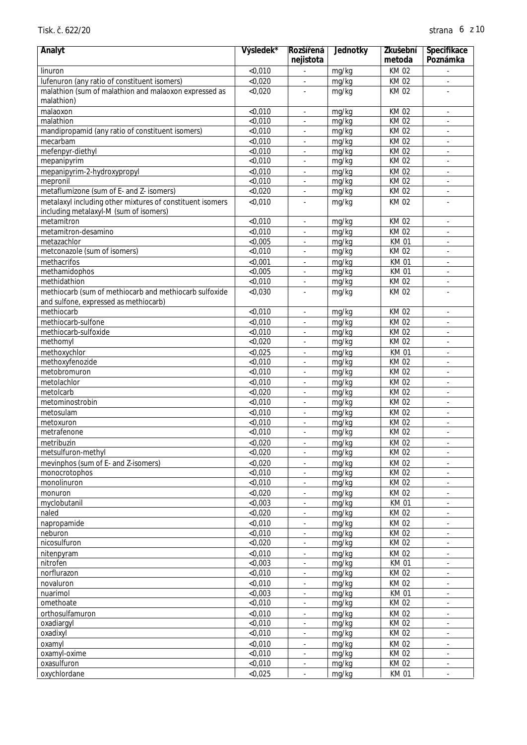| Analyt                                                    | Výsledek* | Rozší ená<br>nejistota   | Jednotky | Zkušební<br>metoda | Specifikace<br>Poznámka     |
|-----------------------------------------------------------|-----------|--------------------------|----------|--------------------|-----------------------------|
| linuron                                                   | < 0,010   |                          | mg/kg    | KM 02              |                             |
| lufenuron (any ratio of constituent isomers)              | < 0,020   | $\bar{\phantom{a}}$      | mg/kg    | KM 02              | $\sim$                      |
| malathion (sum of malathion and malaoxon expressed as     | < 0,020   |                          | mg/kg    | KM 02              |                             |
| malathion)                                                |           |                          |          |                    |                             |
| malaoxon                                                  | < 0,010   | $\blacksquare$           | mg/kg    | KM 02              | $\overline{\phantom{a}}$    |
| malathion                                                 | < 0,010   |                          | mg/kg    | KM 02              |                             |
| mandipropamid (any ratio of constituent isomers)          | < 0,010   |                          | mg/kg    | KM 02              |                             |
| mecarbam                                                  | < 0,010   | ÷,                       | mg/kg    | <b>KM02</b>        | $\overline{\phantom{a}}$    |
| mefenpyr-diethyl                                          | < 0,010   |                          | mg/kg    | KM 02              |                             |
| mepanipyrim                                               | < 0,010   |                          | mg/kg    | KM 02              |                             |
| mepanipyrim-2-hydroxypropyl                               | < 0,010   | ä,                       | mg/kg    | KM 02              | $\omega$                    |
| mepronil                                                  | < 0,010   | $\blacksquare$           | mg/kg    | KM 02              | $\blacksquare$              |
| metaflumizone (sum of E- and Z- isomers)                  | < 0,020   | ÷,                       | mg/kg    | KM 02              | ÷,                          |
| metalaxyl including other mixtures of constituent isomers | < 0,010   |                          | mg/kg    | KM 02              |                             |
| including metalaxyl-M (sum of isomers)                    |           |                          |          |                    |                             |
| metamitron                                                | $<$ 0,010 | Ĭ.                       | mg/kg    | KM 02              | ÷,                          |
| metamitron-desamino                                       | < 0,010   |                          | mg/kg    | KM 02              |                             |
| metazachlor                                               | < 0,005   |                          | mg/kg    | <b>KM01</b>        |                             |
| metconazole (sum of isomers)                              | < 0,010   |                          | mg/kg    | KM 02              |                             |
| methacrifos                                               | < 0,001   | ä,                       | mg/kg    | <b>KM01</b>        | $\mathcal{L}_{\mathcal{A}}$ |
| methamidophos                                             | < 0,005   | $\blacksquare$           | mg/kg    | <b>KM01</b>        | $\blacksquare$              |
| methidathion                                              | < 0,010   | ÷,                       | mg/kg    | KM 02              | $\overline{\phantom{a}}$    |
| methiocarb (sum of methiocarb and methiocarb sulfoxide    | < 0,030   |                          | mg/kg    | KM 02              |                             |
| and sulfone, expressed as methiocarb)                     |           |                          |          |                    |                             |
| methiocarb                                                | $<$ 0,010 | ä,                       | mg/kg    | KM 02              | ÷,                          |
| methiocarb-sulfone                                        | < 0,010   |                          | mg/kg    | KM 02              |                             |
| methiocarb-sulfoxide                                      | < 0,010   |                          | mg/kg    | KM 02              |                             |
| methomyl                                                  | < 0,020   | ä,                       | mg/kg    | KM 02              |                             |
| methoxychlor                                              | < 0,025   | $\bar{\phantom{a}}$      | mg/kg    | <b>KM01</b>        | $\mathcal{L}$               |
| methoxyfenozide                                           | < 0,010   | ÷,                       | mg/kg    | KM 02              | $\blacksquare$              |
| metobromuron                                              | < 0,010   | Ĭ.                       | mg/kg    | KM 02              | $\overline{\phantom{a}}$    |
| metolachlor                                               | < 0,010   | $\overline{\phantom{a}}$ | mg/kg    | KM 02              | $\overline{\phantom{a}}$    |
| metolcarb                                                 | < 0.020   | ÷,                       | mg/kg    | KM 02              | ÷,                          |
| metominostrobin                                           | $<$ 0,010 |                          | mg/kg    | <b>KM02</b>        |                             |
| metosulam                                                 | $<$ 0,010 | ÷,                       | mg/kg    | <b>KM02</b>        | $\overline{\phantom{a}}$    |
| metoxuron                                                 | < 0,010   |                          | mg/kg    | KM 02              |                             |
| metrafenone                                               | $<$ 0,010 | $\Box$                   | mg/kg    | KM 02              |                             |
| metribuzin                                                | < 0,020   |                          | mg/kg    | <b>KM02</b>        |                             |
| metsulfuron-methyl                                        | < 0,020   | $\Box$                   | mg/kg    | KM 02              | $\mathcal{L}$               |
| mevinphos (sum of E- and Z-isomers)                       | < 0,020   | ÷.                       | mg/kg    | KM 02              | $\blacksquare$              |
| monocrotophos                                             | < 0,010   | $\blacksquare$           | mg/kg    | KM 02              | $\blacksquare$              |
| monolinuron                                               | < 0,010   |                          | mg/kg    | KM 02              | $\overline{\phantom{a}}$    |
| monuron                                                   | < 0,020   |                          | mg/kg    | KM 02              | $\overline{\phantom{a}}$    |
| myclobutanil                                              | < 0,003   |                          | mg/kg    | <b>KM01</b>        | $\overline{\phantom{a}}$    |
| naled                                                     | < 0,020   |                          | mg/kg    | KM 02              | $\blacksquare$              |
| napropamide                                               | < 0,010   |                          | mg/kg    | KM 02              | $\blacksquare$              |
| neburon                                                   | < 0,010   |                          | mg/kg    | KM 02              |                             |
| nicosulfuron                                              | < 0,020   | ÷.                       | mg/kg    | KM 02              | $\mathcal{L}$               |
| nitenpyram                                                | < 0,010   | $\blacksquare$           | mg/kg    | KM 02              | $\blacksquare$              |
| nitrofen                                                  | < 0,003   | $\overline{\phantom{a}}$ | mg/kg    | KM 01              | $\blacksquare$              |
| norflurazon                                               | < 0,010   |                          | mg/kg    | KM 02              | $\blacksquare$              |
| novaluron                                                 | < 0,010   |                          | mg/kg    | KM 02              | $\overline{\phantom{a}}$    |
| nuarimol                                                  | < 0,003   | $\overline{\phantom{a}}$ | mg/kg    | <b>KM01</b>        | $\overline{\phantom{a}}$    |
| omethoate                                                 | < 0,010   |                          | mg/kg    | KM 02              | $\blacksquare$              |
| orthosulfamuron                                           | < 0,010   |                          | mg/kg    | KM 02              | $\blacksquare$              |
| oxadiargyl                                                | < 0,010   |                          | mg/kg    | KM 02              |                             |
| oxadixyl                                                  | < 0,010   | $\blacksquare$           | mg/kg    | KM 02              | $\blacksquare$              |
| oxamyl                                                    | < 0,010   | ä,                       | mg/kg    | KM 02              | $\blacksquare$              |
| oxamyl-oxime                                              | < 0,010   | $\overline{\phantom{a}}$ | mg/kg    | KM 02              | $\blacksquare$              |
| oxasulfuron                                               | < 0,010   | $\overline{\phantom{a}}$ | mg/kg    | KM 02              | $\blacksquare$              |
| oxychlordane                                              | < 0,025   | $\overline{\phantom{a}}$ | mg/kg    | <b>KM01</b>        | $\blacksquare$              |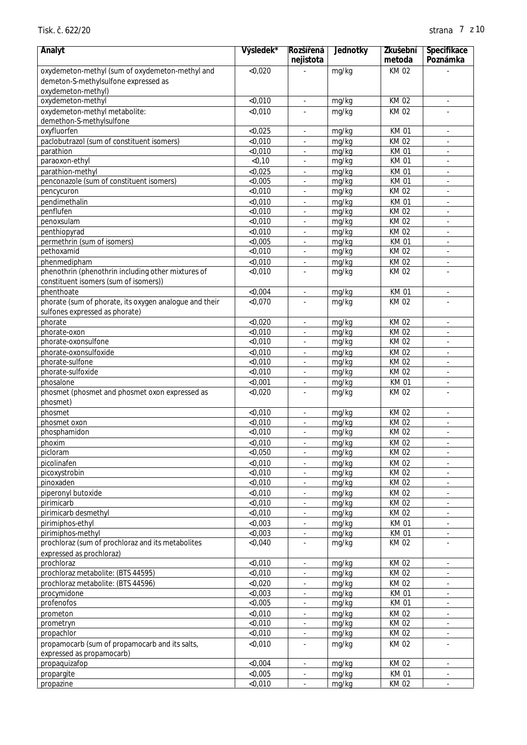| Analyt                                                                                   | Výsledek*          | Rozší ená                | Jednotky       | Zkušební                   | Specifikace                                |
|------------------------------------------------------------------------------------------|--------------------|--------------------------|----------------|----------------------------|--------------------------------------------|
|                                                                                          |                    | nejistota                |                | metoda                     | Poznámka                                   |
| oxydemeton-methyl (sum of oxydemeton-methyl and                                          | < 0,020            |                          | mg/kg          | KM 02                      |                                            |
| demeton-S-methylsulfone expressed as<br>oxydemeton-methyl)                               |                    |                          |                |                            |                                            |
| oxydemeton-methyl                                                                        | < 0.010            | $\overline{\phantom{a}}$ | mg/kg          | <b>KM02</b>                | $\overline{\phantom{a}}$                   |
| oxydemeton-methyl metabolite:                                                            | < 0,010            |                          | mg/kg          | KM 02                      |                                            |
| demethon-S-methylsulfone                                                                 |                    |                          |                |                            |                                            |
| oxyfluorfen                                                                              | < 0,025            |                          | mg/kg          | <b>KM01</b>                | $\blacksquare$                             |
| paclobutrazol (sum of constituent isomers)                                               | < 0,010            |                          | mg/kg          | KM 02                      | $\overline{\phantom{a}}$                   |
| parathion                                                                                | < 0,010            |                          | mg/kg          | <b>KM01</b>                |                                            |
| paraoxon-ethyl                                                                           | < 0, 10            |                          | mg/kg          | <b>KM01</b>                | $\blacksquare$                             |
| parathion-methyl                                                                         | < 0,025            | $\overline{\phantom{a}}$ | mg/kg          | <b>KM01</b>                | $\overline{\phantom{a}}$                   |
| penconazole (sum of constituent isomers)<br>pencycuron                                   | < 0,005<br>< 0,010 | ÷,                       | mg/kg<br>mg/kg | <b>KM01</b><br>KM 02       | $\blacksquare$<br>$\blacksquare$           |
| pendimethalin                                                                            | < 0,010            |                          | mg/kg          | <b>KM01</b>                | $\blacksquare$                             |
| penflufen                                                                                | < 0,010            |                          | mg/kg          | KM 02                      | $\overline{\phantom{a}}$                   |
| penoxsulam                                                                               | < 0,010            |                          | mg/kg          | KM 02                      | $\overline{\phantom{a}}$                   |
| penthiopyrad                                                                             | < 0,010            |                          | mg/kg          | KM 02                      | $\blacksquare$                             |
| permethrin (sum of isomers)                                                              | < 0,005            |                          | mg/kg          | <b>KM01</b>                |                                            |
| pethoxamid                                                                               | < 0,010            | ä,                       | mg/kg          | <b>KM02</b>                | $\blacksquare$                             |
| phenmedipham                                                                             | < 0,010            | ÷.                       | mg/kg          | <b>KM02</b>                | $\blacksquare$                             |
| phenothrin (phenothrin including other mixtures of                                       | < 0,010            |                          | mg/kg          | KM 02                      | ÷,                                         |
| constituent isomers (sum of isomers))                                                    |                    |                          |                |                            |                                            |
| phenthoate                                                                               | < 0,004            | ÷,                       | mg/kg          | <b>KM01</b>                | $\Box$                                     |
| phorate (sum of phorate, its oxygen analogue and their<br>sulfones expressed as phorate) | < 0,070            |                          | mg/kg          | <b>KM02</b>                |                                            |
| phorate                                                                                  | < 0,020            |                          | mg/kg          | KM 02                      | $\overline{\phantom{a}}$                   |
| phorate-oxon                                                                             | < 0,010            |                          | mg/kg          | <b>KM02</b>                |                                            |
| phorate-oxonsulfone                                                                      | < 0,010            |                          | mg/kg          | <b>KM02</b>                | $\blacksquare$                             |
| phorate-oxonsulfoxide                                                                    | < 0,010            | $\overline{\phantom{a}}$ | mg/kg          | <b>KM02</b>                | $\overline{\phantom{a}}$                   |
| phorate-sulfone                                                                          | < 0,010            | ÷,                       | mg/kg          | KM 02                      | $\blacksquare$                             |
| phorate-sulfoxide                                                                        | < 0,010            | ÷                        | mg/kg          | KM 02                      | $\blacksquare$                             |
| phosalone                                                                                | < 0,001            |                          | mg/kg          | <b>KM01</b>                | $\blacksquare$                             |
| phosmet (phosmet and phosmet oxon expressed as                                           | < 0,020            |                          | mg/kg          | <b>KM02</b>                |                                            |
| phosmet)                                                                                 |                    |                          |                |                            |                                            |
| phosmet                                                                                  | < 0,010<br>< 0,010 |                          | mg/kg<br>mg/kg | KM 02<br><b>KM02</b>       | $\overline{\phantom{a}}$                   |
| phosmet oxon<br>phosphamidon                                                             | $<$ 0,010          | ÷,                       | mg/kg          | KM 02                      | $\blacksquare$                             |
| phoxim                                                                                   | < 0,010            |                          | mg/kg          | <b>KM02</b>                |                                            |
| picloram                                                                                 | < 0,050            | $\overline{\phantom{a}}$ | mg/kg          | KM 02                      | $\blacksquare$                             |
| picolinafen                                                                              | < 0,010            |                          | mg/kg          | KM 02                      | $\blacksquare$                             |
| picoxystrobin                                                                            | < 0,010            |                          | mg/kg          | KM 02                      | $\blacksquare$                             |
| pinoxaden                                                                                | < 0,010            |                          | mg/kg          | KM 02                      | $\blacksquare$                             |
| piperonyl butoxide                                                                       | < 0,010            |                          | mg/kg          | KM 02                      | $\overline{\phantom{a}}$                   |
| pirimicarb                                                                               | < 0,010            |                          | mg/kg          | KM 02                      | $\blacksquare$                             |
| pirimicarb desmethyl                                                                     | $<$ 0,010          |                          | mg/kg          | KM 02                      |                                            |
| pirimiphos-ethyl<br>pirimiphos-methyl                                                    | < 0,003<br>< 0.003 |                          | mg/kg          | <b>KM01</b><br><b>KM01</b> |                                            |
| prochloraz (sum of prochloraz and its metabolites                                        | < 0,040            |                          | mg/kg<br>mg/kg | KM 02                      | $\blacksquare$<br>$\overline{\phantom{a}}$ |
| expressed as prochloraz)                                                                 |                    |                          |                |                            |                                            |
| prochloraz                                                                               | < 0,010            | $\overline{\phantom{a}}$ | mg/kg          | KM 02                      | $\blacksquare$                             |
| prochloraz metabolite: (BTS 44595)                                                       | < 0,010            |                          | mg/kg          | KM 02                      | $\overline{\phantom{a}}$                   |
| prochloraz metabolite: (BTS 44596)                                                       | < 0,020            |                          | mg/kg          | KM 02                      | $\blacksquare$                             |
| procymidone                                                                              | < 0,003            |                          | mg/kg          | <b>KM01</b>                |                                            |
| profenofos                                                                               | $<$ 0,005          |                          | mg/kg          | <b>KM01</b>                |                                            |
| prometon                                                                                 | < 0,010            |                          | mg/kg          | KM 02                      |                                            |
| prometryn                                                                                | < 0,010            | ÷.                       | mg/kg          | KM 02                      | $\Box$                                     |
| propachlor                                                                               | < 0,010            | ÷,                       | mg/kg          | KM 02                      | $\blacksquare$                             |
| propamocarb (sum of propamocarb and its salts,<br>expressed as propamocarb)              | < 0,010            |                          | mg/kg          | KM 02                      | $\blacksquare$                             |
| propaquizafop                                                                            | < 0,004            | $\blacksquare$           | mg/kg          | KM 02                      | $\blacksquare$                             |
| propargite                                                                               | < 0,005            |                          | mg/kg          | <b>KM01</b>                |                                            |
| propazine                                                                                | < 0,010            |                          | mg/kg          | KM 02                      |                                            |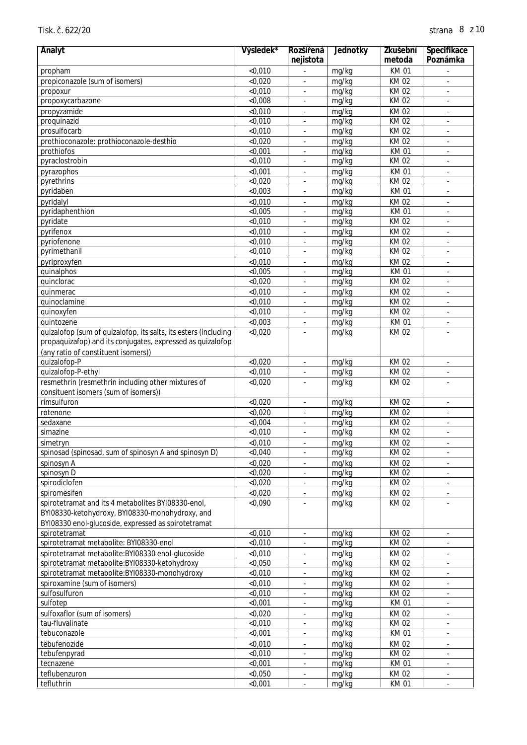| Analyt                                                          | Výsledek* | Rozší ená                | Jednotky | Zkušební    | Specifikace              |
|-----------------------------------------------------------------|-----------|--------------------------|----------|-------------|--------------------------|
|                                                                 |           | nejistota                |          | metoda      | Poznámka                 |
| propham                                                         | < 0,010   |                          | mg/kg    | <b>KM01</b> |                          |
| propiconazole (sum of isomers)                                  | < 0,020   |                          | mg/kg    | KM 02       | $\overline{\phantom{a}}$ |
| propoxur                                                        | < 0,010   | ÷,                       | mg/kg    | KM 02       | $\blacksquare$           |
| propoxycarbazone                                                | < 0,008   |                          | mg/kg    | KM 02       |                          |
| propyzamide                                                     | < 0,010   | ä,                       | mg/kg    | KM 02       | $\overline{\phantom{a}}$ |
| proquinazid                                                     | < 0,010   |                          | mg/kg    | KM 02       | ÷,                       |
| prosulfocarb                                                    | < 0,010   |                          | mg/kg    | KM 02       |                          |
| prothioconazole: prothioconazole-desthio                        | < 0,020   |                          | mg/kg    | KM 02       | $\blacksquare$           |
| prothiofos                                                      | < 0,001   | ä,                       | mg/kg    | <b>KM01</b> | ÷,                       |
| pyraclostrobin                                                  | < 0,010   | ä,                       | mg/kg    | <b>KM02</b> | ÷,                       |
| pyrazophos                                                      | < 0,001   | $\blacksquare$           | mg/kg    | <b>KM01</b> | $\blacksquare$           |
| pyrethrins                                                      | < 0,020   | $\overline{\phantom{a}}$ | mg/kg    | <b>KM02</b> | $\overline{\phantom{a}}$ |
| pyridaben                                                       | < 0,003   |                          | mg/kg    | <b>KM01</b> | ä,                       |
| pyridalyl                                                       | < 0,010   | $\overline{\phantom{a}}$ | mg/kg    | <b>KM02</b> | ÷.                       |
| pyridaphenthion                                                 | < 0,005   |                          | mg/kg    | <b>KM01</b> | ÷,                       |
| pyridate                                                        | < 0,010   |                          | mg/kg    | <b>KM02</b> |                          |
| pyrifenox                                                       | < 0,010   |                          | mg/kg    | KM 02       |                          |
| pyriofenone                                                     | < 0,010   |                          | mg/kg    | KM 02       | $\overline{\phantom{a}}$ |
| pyrimethanil                                                    | < 0,010   |                          | mg/kg    | KM 02       | ÷.                       |
| pyriproxyfen                                                    | < 0.010   | ä,                       | mg/kg    | <b>KM02</b> | ÷.                       |
| quinalphos                                                      | < 0,005   | $\blacksquare$           | mg/kg    | <b>KM01</b> | $\blacksquare$           |
| quinclorac                                                      | < 0,020   |                          | mg/kg    | KM 02       | ÷,                       |
| quinmerac                                                       | < 0,010   |                          | mg/kg    | KM 02       | $\overline{\phantom{a}}$ |
| quinoclamine                                                    | < 0,010   |                          | mg/kg    | KM 02       | ÷.                       |
| quinoxyfen                                                      | < 0,010   |                          | mg/kg    | KM 02       | $\overline{\phantom{a}}$ |
| quintozene                                                      | < 0,003   |                          | mg/kg    | <b>KM01</b> | $\blacksquare$           |
| quizalofop (sum of quizalofop, its salts, its esters (including | < 0,020   |                          | mg/kg    | KM 02       |                          |
| propaquizafop) and its conjugates, expressed as quizalofop      |           |                          |          |             |                          |
| (any ratio of constituent isomers))                             |           |                          |          |             |                          |
| quizalofop-P                                                    | < 0,020   | $\overline{\phantom{a}}$ | mg/kg    | KM 02       | $\blacksquare$           |
| quizalofop-P-ethyl                                              | < 0,010   |                          | mg/kg    | KM 02       |                          |
| resmethrin (resmethrin including other mixtures of              | < 0,020   |                          | mg/kg    | KM 02       | ä,                       |
| consituent isomers (sum of isomers))                            |           |                          |          |             |                          |
| rimsulfuron                                                     | < 0,020   |                          | mg/kg    | KM 02       | $\overline{\phantom{a}}$ |
| rotenone                                                        | < 0,020   |                          | mg/kg    | KM 02       |                          |
| sedaxane                                                        | < 0,004   | ä,                       | mg/kg    | <b>KM02</b> | ÷.                       |
| simazine                                                        | < 0.010   | $\blacksquare$           | mg/kg    | <b>KM02</b> | ä,                       |
| simetryn                                                        | $<$ 0,010 |                          | mg/kg    | <b>KM02</b> |                          |
| spinosad (spinosad, sum of spinosyn A and spinosyn D)           | < 0.040   | $\overline{\phantom{a}}$ | mg/kg    | KM 02       | $\blacksquare$           |
| spinosyn A                                                      | < 0,020   |                          | mg/kg    | KM 02       |                          |
| spinosyn D                                                      | < 0,020   |                          | mg/kg    | KM 02       |                          |
| spirodiclofen                                                   | < 0,020   |                          | mg/kg    | KM 02       | $\overline{\phantom{a}}$ |
| spiromesifen                                                    | < 0,020   |                          | mg/kg    | KM 02       | $\overline{\phantom{a}}$ |
| spirotetramat and its 4 metabolites BYI08330-enol,              | < 0,090   |                          | mg/kg    | KM 02       |                          |
| BYI08330-ketohydroxy, BYI08330-monohydroxy, and                 |           |                          |          |             |                          |
| BYI08330 enol-glucoside, expressed as spirotetramat             |           |                          |          |             |                          |
| spirotetramat                                                   | < 0,010   | $\blacksquare$           | mg/kg    | KM 02       | $\blacksquare$           |
| spirotetramat metabolite: BYI08330-enol                         | < 0,010   |                          | mg/kg    | KM 02       | $\overline{\phantom{a}}$ |
| spirotetramat metabolite: BYI08330 enol-glucoside               | < 0,010   | $\overline{\phantom{a}}$ | mg/kg    | KM 02       | $\blacksquare$           |
| spirotetramat metabolite:BYI08330-ketohydroxy                   | < 0,050   |                          | mg/kg    | KM 02       | $\overline{\phantom{a}}$ |
| spirotetramat metabolite: BYI08330-monohydroxy                  | < 0,010   |                          | mg/kg    | KM 02       | $\overline{\phantom{a}}$ |
| spiroxamine (sum of isomers)                                    | < 0,010   |                          | mg/kg    | KM 02       | ۰                        |
| sulfosulfuron                                                   | < 0,010   |                          | mg/kg    | KM 02       |                          |
| sulfotep                                                        | $<$ 0,001 | $\blacksquare$           | mg/kg    | <b>KM01</b> | $\blacksquare$           |
| sulfoxaflor (sum of isomers)                                    | < 0,020   |                          | mg/kg    | KM 02       | ä,                       |
| tau-fluvalinate                                                 | < 0,010   | $\blacksquare$           | mg/kg    | KM 02       | ÷,                       |
| tebuconazole                                                    | $<$ 0,001 | $\blacksquare$           | mg/kg    | <b>KM01</b> | ٠                        |
| tebufenozide                                                    | < 0,010   |                          | mg/kg    | KM 02       | $\overline{\phantom{a}}$ |
| tebufenpyrad                                                    | < 0,010   | $\overline{\phantom{a}}$ | mg/kg    | KM 02       | $\overline{\phantom{a}}$ |
| tecnazene                                                       | $<$ 0,001 |                          | mg/kg    | KM 01       | $\overline{\phantom{a}}$ |
| teflubenzuron                                                   | < 0,050   |                          | mg/kg    | KM 02       | ٠                        |
| tefluthrin                                                      | $<$ 0,001 |                          | mg/kg    | <b>KM01</b> |                          |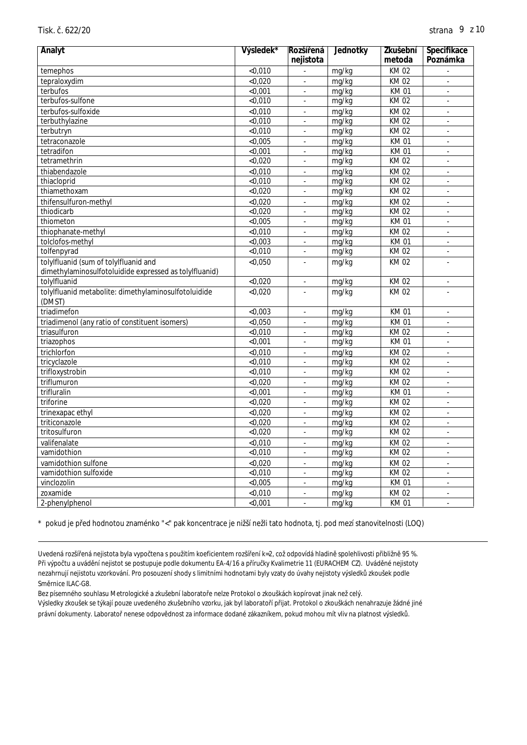| Analyt                                                 | Výsledek*          | Rozší ená                | Jednotky | Zkušební    | Specifikace              |
|--------------------------------------------------------|--------------------|--------------------------|----------|-------------|--------------------------|
|                                                        |                    | nejistota                |          | metoda      | Poznámka                 |
| temephos                                               | < 0,010            |                          | mg/kg    | <b>KM02</b> |                          |
| tepraloxydim                                           | < 0,020            |                          | mg/kg    | <b>KM02</b> | ÷.                       |
| terbufos                                               | < 0,001            | ÷,                       | mg/kg    | <b>KM01</b> | $\sim$                   |
| terbufos-sulfone                                       | < 0,010            | $\overline{\phantom{a}}$ | mg/kg    | KM 02       | $\bar{\phantom{a}}$      |
| terbufos-sulfoxide                                     | $\overline{0,010}$ |                          | mg/kg    | KM 02       | $\sim$                   |
| terbuthylazine                                         | < 0,010            | $\blacksquare$           | mg/kg    | KM 02       | $\blacksquare$           |
| terbutryn                                              | $<$ 0,010          | ä,                       | mg/kg    | <b>KM02</b> | ÷.                       |
| tetraconazole                                          | < 0,005            | L.                       | mg/kg    | <b>KM01</b> | $\mathcal{L}$            |
| tetradifon                                             | < 0.001            | L.                       | mg/kg    | <b>KM01</b> | $\sim$                   |
| tetramethrin                                           | < 0,020            |                          | mg/kg    | KM 02       |                          |
| thiabendazole                                          | < 0,010            | $\Box$                   | mg/kg    | <b>KM02</b> | $\mathcal{L}$            |
| thiacloprid                                            | < 0,010            | l,                       | mg/kg    | <b>KM02</b> | ÷,                       |
| thiamethoxam                                           | < 0,020            |                          | mg/kg    | <b>KM02</b> | J.                       |
| thifensulfuron-methyl                                  | < 0,020            | L,                       | mg/kg    | <b>KM02</b> | $\sim$                   |
| thiodicarb                                             | < 0,020            | ä,                       | mg/kg    | <b>KM02</b> | ÷.                       |
| thiometon                                              | < 0,005            | $\overline{\phantom{a}}$ | mg/kg    | KM 01       | $\omega$                 |
| thiophanate-methyl                                     | < 0,010            | ÷,                       | mg/kg    | <b>KM02</b> | $\overline{\phantom{a}}$ |
| tolclofos-methyl                                       | < 0,003            |                          | mg/kg    | <b>KM01</b> |                          |
| tolfenpyrad                                            | < 0,010            | l,                       | mg/kg    | <b>KM02</b> | $\overline{\phantom{a}}$ |
| tolylfluanid (sum of tolylfluanid and                  | < 0,050            | L,                       | mg/kg    | <b>KM02</b> |                          |
| dimethylaminosulfotoluidide expressed as tolylfluanid) |                    |                          |          |             |                          |
| tolylfluanid                                           | < 0,020            | ÷,                       | mg/kg    | KM 02       | $\overline{\phantom{a}}$ |
| tolylfluanid metabolite: dimethylaminosulfotoluidide   | < 0,020            |                          | mg/kg    | <b>KM02</b> | $\overline{a}$           |
| (DMST)                                                 |                    |                          |          |             |                          |
| triadimefon                                            | < 0,003            | l,                       | mg/kg    | <b>KM01</b> | ÷,                       |
| triadimenol (any ratio of constituent isomers)         | < 0,050            |                          | mg/kg    | <b>KM01</b> | J.                       |
| triasulfuron                                           | $\sqrt{0.010}$     | $\overline{\phantom{a}}$ | mg/kg    | <b>KM02</b> | $\sim$                   |
| triazophos                                             | < 0,001            | $\sim$                   | mg/kg    | <b>KM01</b> | $\sim$                   |
| trichlorfon                                            | < 0,010            |                          | mg/kg    | <b>KM02</b> | $\sim$                   |
| tricyclazole                                           | < 0,010            | $\blacksquare$           | mg/kg    | <b>KM02</b> | $\blacksquare$           |
| trifloxystrobin                                        | < 0,010            |                          | mg/kg    | <b>KM02</b> | ×,                       |
| triflumuron                                            | $\sqrt{0.020}$     | L.                       | mg/kg    | <b>KM02</b> | $\mathcal{L}$            |
| trifluralin                                            | < 0,001            | ÷,                       | mg/kg    | <b>KM01</b> | $\sim$                   |
| triforine                                              | < 0,020            |                          | mg/kg    | KM 02       |                          |
| trinexapac ethyl                                       | < 0,020            | $\sim$                   | mg/kg    | <b>KM02</b> | $\sim$                   |
| triticonazole                                          | $\overline{0,020}$ | L,                       | mg/kg    | <b>KM02</b> | $\sim$                   |
| tritosulfuron                                          | < 0,020            | L,                       | mg/kg    | <b>KM02</b> | $\sim$                   |
| valifenalate                                           | < 0,010            | $\overline{\phantom{a}}$ | mg/kg    | <b>KM02</b> | $\bar{\phantom{a}}$      |
| vamidothion                                            | < 0,010            | J.                       | mg/kg    | <b>KM02</b> | $\sim$                   |
| vamidothion sulfone                                    | < 0,020            | ä,                       | mg/kg    | KM 02       | ÷.                       |
| vamidothion sulfoxide                                  | < 0,010            | $\overline{\phantom{a}}$ | mg/kg    | KM 02       | ×.                       |
| vinclozolin                                            | < 0,005            | l,                       | mg/kg    | <b>KM01</b> | $\bar{\phantom{a}}$      |
| zoxamide                                               | < 0,010            | $\blacksquare$           | mg/kg    | <b>KM02</b> | ÷,                       |
| 2-phenylphenol                                         | $<$ 0,001          | $\sim$                   | mg/kg    | <b>KM01</b> |                          |

\* pokud je p ed hodnotou znaménko "<" pak koncentrace je nižší nežli tato hodnota, tj. pod mezí stanovitelnosti (LOQ)

Uvedená rozší ená nejistota byla vypo tena s použitím koeficientem rozší ení k=2, což odpovídá hladin spolehlivosti p ibližn 95 %. P i výpo tu a uvád ní nejistot se postupuje podle dokumentu EA-4/16 a píru ky Kvalimetrie 11 (EURACHEM CZ). Uvád né nejistoty nezahrnují nejistotu vzorkování. Pro posouzení shody s limitními hodnotami byly vzaty do úvahy nejistoty výsledk zkoušek podle Sm rnice ILAC-G8.

Bez písemného souhlasu Metrologické a zkušební laborato e nelze Protokol o zkouškách kopírovat jinak než celý.

Výsledky zkoušek se týkají pouze uvedeného zkušebního vzorku, jak byl laborato í pijat. Protokol o zkouškách nenahrazuje žádné jiné právní dokumenty. Laborato nenese odpov dnost za informace dodané zákazníkem, pokud mohou mít vliv na platnost výsledk.